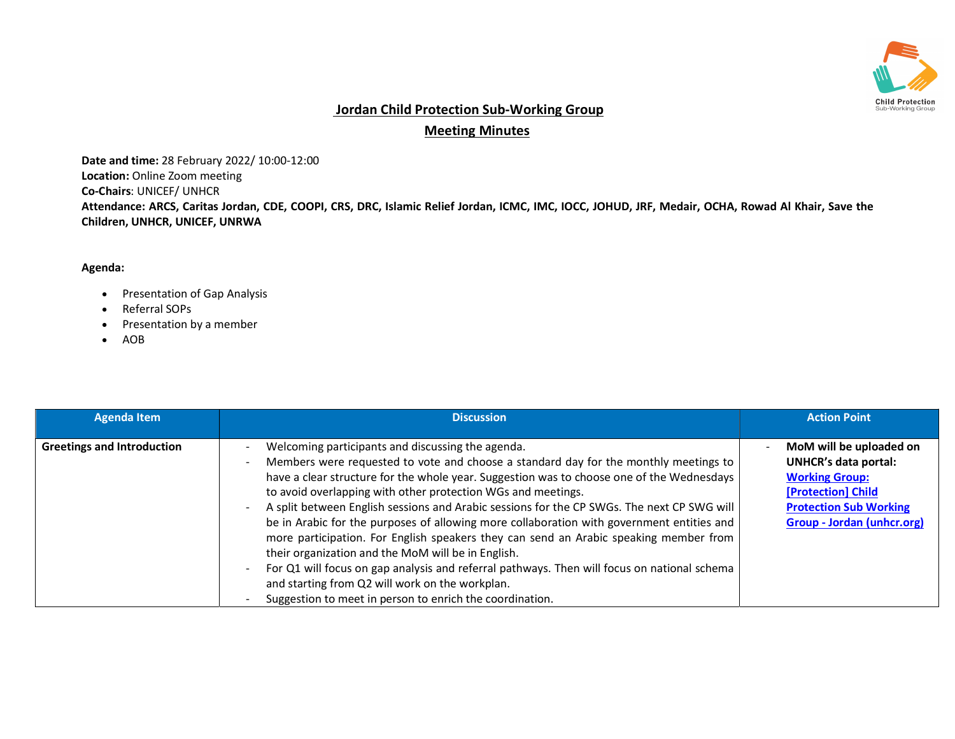

## Jordan Child Protection Sub-Working Group

## Meeting Minutes

Date and time: 28 February 2022/ 10:00-12:00 Location: Online Zoom meeting Co-Chairs: UNICEF/ UNHCR Attendance: ARCS, Caritas Jordan, CDE, COOPI, CRS, DRC, Islamic Relief Jordan, ICMC, IMC, IOCC, JOHUD, JRF, Medair, OCHA, Rowad Al Khair, Save the Children, UNHCR, UNICEF, UNRWA

## Agenda:

- Presentation of Gap Analysis
- Referral SOPs
- Presentation by a member
- AOB

| <b>Agenda Item</b>                | <b>Discussion</b>                                                                                                                                                                                                                                                                                                                                                                                                                                                                                                                                                                                                                                                                                                                                                                                                                                              | <b>Action Point</b>                                                                                                                                                  |
|-----------------------------------|----------------------------------------------------------------------------------------------------------------------------------------------------------------------------------------------------------------------------------------------------------------------------------------------------------------------------------------------------------------------------------------------------------------------------------------------------------------------------------------------------------------------------------------------------------------------------------------------------------------------------------------------------------------------------------------------------------------------------------------------------------------------------------------------------------------------------------------------------------------|----------------------------------------------------------------------------------------------------------------------------------------------------------------------|
| <b>Greetings and Introduction</b> | Welcoming participants and discussing the agenda.<br>Members were requested to vote and choose a standard day for the monthly meetings to<br>have a clear structure for the whole year. Suggestion was to choose one of the Wednesdays<br>to avoid overlapping with other protection WGs and meetings.<br>A split between English sessions and Arabic sessions for the CP SWGs. The next CP SWG will<br>be in Arabic for the purposes of allowing more collaboration with government entities and<br>more participation. For English speakers they can send an Arabic speaking member from<br>their organization and the MoM will be in English.<br>For Q1 will focus on gap analysis and referral pathways. Then will focus on national schema<br>and starting from Q2 will work on the workplan.<br>Suggestion to meet in person to enrich the coordination. | MoM will be uploaded on<br><b>UNHCR's data portal:</b><br><b>Working Group:</b><br>[Protection] Child<br><b>Protection Sub Working</b><br>Group - Jordan (unhcr.org) |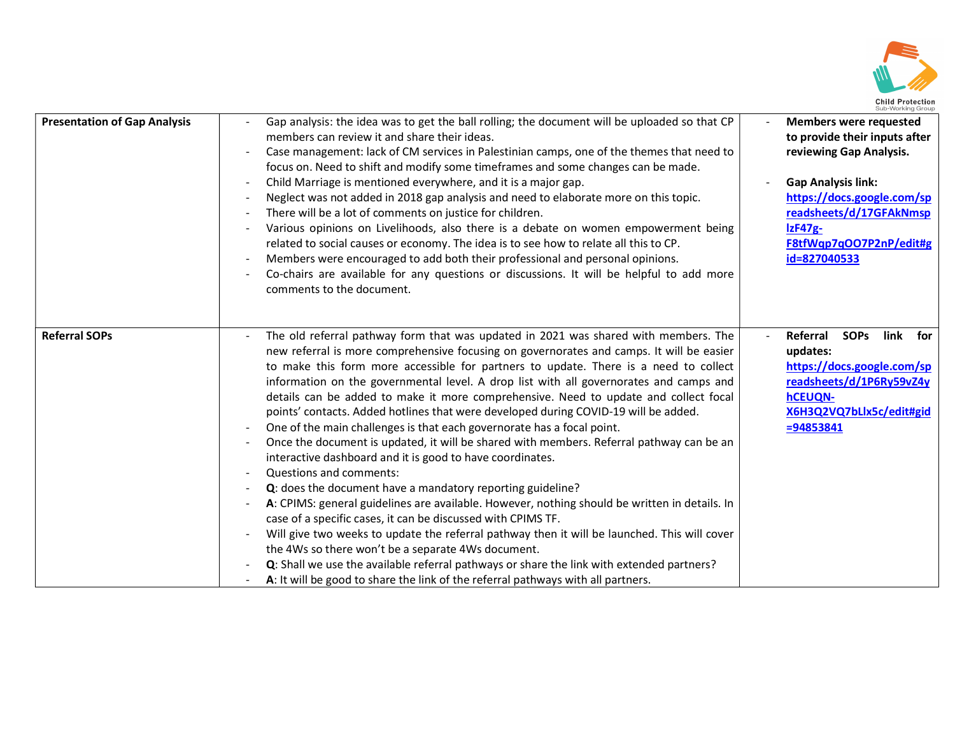

| <b>Presentation of Gap Analysis</b> | Gap analysis: the idea was to get the ball rolling; the document will be uploaded so that CP<br>members can review it and share their ideas.<br>Case management: lack of CM services in Palestinian camps, one of the themes that need to<br>focus on. Need to shift and modify some timeframes and some changes can be made.<br>Child Marriage is mentioned everywhere, and it is a major gap.<br>Neglect was not added in 2018 gap analysis and need to elaborate more on this topic.<br>There will be a lot of comments on justice for children.<br>Various opinions on Livelihoods, also there is a debate on women empowerment being<br>related to social causes or economy. The idea is to see how to relate all this to CP.<br>Members were encouraged to add both their professional and personal opinions.<br>Co-chairs are available for any questions or discussions. It will be helpful to add more<br>comments to the document.                                                                                                                                                                                                                                                                                                                                                                                                                                         | <b>Members were requested</b><br>to provide their inputs after<br>reviewing Gap Analysis.<br><b>Gap Analysis link:</b><br>https://docs.google.com/sp<br>readsheets/d/17GFAkNmsp<br>$IzF47g-$<br>F8tfWqp7qOO7P2nP/edit#g<br>id=827040533 |
|-------------------------------------|--------------------------------------------------------------------------------------------------------------------------------------------------------------------------------------------------------------------------------------------------------------------------------------------------------------------------------------------------------------------------------------------------------------------------------------------------------------------------------------------------------------------------------------------------------------------------------------------------------------------------------------------------------------------------------------------------------------------------------------------------------------------------------------------------------------------------------------------------------------------------------------------------------------------------------------------------------------------------------------------------------------------------------------------------------------------------------------------------------------------------------------------------------------------------------------------------------------------------------------------------------------------------------------------------------------------------------------------------------------------------------------|-----------------------------------------------------------------------------------------------------------------------------------------------------------------------------------------------------------------------------------------|
| <b>Referral SOPs</b>                | The old referral pathway form that was updated in 2021 was shared with members. The<br>new referral is more comprehensive focusing on governorates and camps. It will be easier<br>to make this form more accessible for partners to update. There is a need to collect<br>information on the governmental level. A drop list with all governorates and camps and<br>details can be added to make it more comprehensive. Need to update and collect focal<br>points' contacts. Added hotlines that were developed during COVID-19 will be added.<br>One of the main challenges is that each governorate has a focal point.<br>Once the document is updated, it will be shared with members. Referral pathway can be an<br>interactive dashboard and it is good to have coordinates.<br>Questions and comments:<br>Q: does the document have a mandatory reporting guideline?<br>A: CPIMS: general guidelines are available. However, nothing should be written in details. In<br>case of a specific cases, it can be discussed with CPIMS TF.<br>Will give two weeks to update the referral pathway then it will be launched. This will cover<br>the 4Ws so there won't be a separate 4Ws document.<br>Q: Shall we use the available referral pathways or share the link with extended partners?<br>A: It will be good to share the link of the referral pathways with all partners. | Referral<br>link for<br><b>SOPs</b><br>updates:<br>https://docs.google.com/sp<br>readsheets/d/1P6Ry59vZ4y<br><b>hCEUQN-</b><br>X6H3Q2VQ7bLlx5c/edit#gid<br>$= 94853841$                                                                 |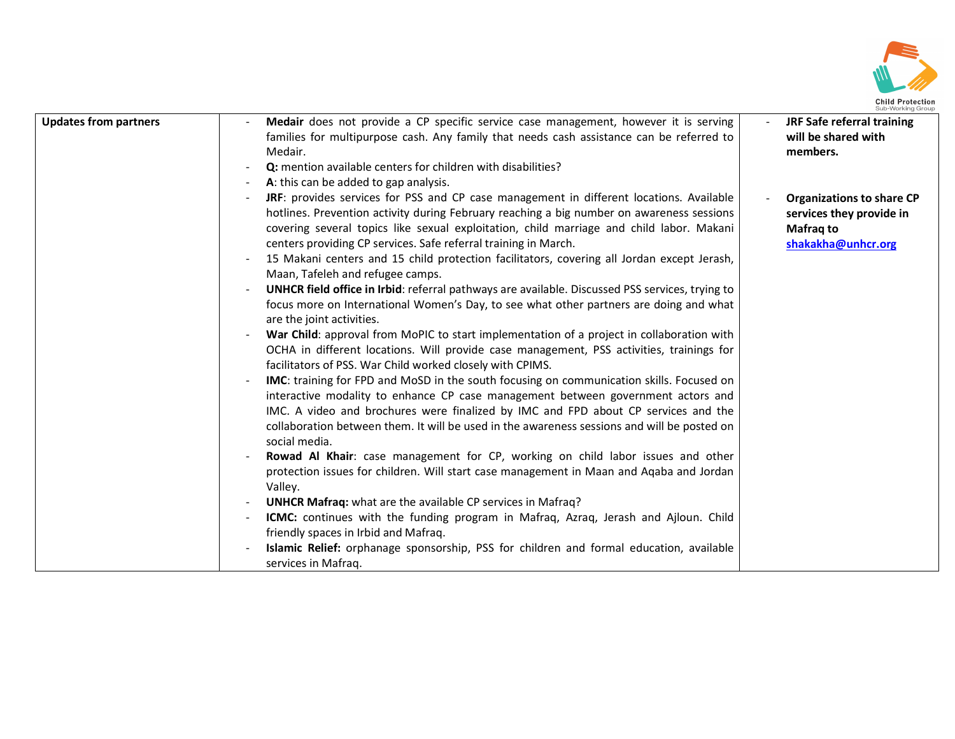

| <b>Updates from partners</b> | Medair does not provide a CP specific service case management, however it is serving<br>families for multipurpose cash. Any family that needs cash assistance can be referred to<br>Medair.<br>Q: mention available centers for children with disabilities?<br>A: this can be added to gap analysis.                                                                                                                                                                                                                                                                                                                                                                                                                                                                                                                                                                                                                                                                                                                                                                                                                                                                                                                                                                                                                                                                                                                                                                                                                                                                                                                                                                                                                                                                                                                                                                               | JRF Safe referral training<br>will be shared with<br>members.                                          |
|------------------------------|------------------------------------------------------------------------------------------------------------------------------------------------------------------------------------------------------------------------------------------------------------------------------------------------------------------------------------------------------------------------------------------------------------------------------------------------------------------------------------------------------------------------------------------------------------------------------------------------------------------------------------------------------------------------------------------------------------------------------------------------------------------------------------------------------------------------------------------------------------------------------------------------------------------------------------------------------------------------------------------------------------------------------------------------------------------------------------------------------------------------------------------------------------------------------------------------------------------------------------------------------------------------------------------------------------------------------------------------------------------------------------------------------------------------------------------------------------------------------------------------------------------------------------------------------------------------------------------------------------------------------------------------------------------------------------------------------------------------------------------------------------------------------------------------------------------------------------------------------------------------------------|--------------------------------------------------------------------------------------------------------|
|                              | JRF: provides services for PSS and CP case management in different locations. Available<br>hotlines. Prevention activity during February reaching a big number on awareness sessions<br>covering several topics like sexual exploitation, child marriage and child labor. Makani<br>centers providing CP services. Safe referral training in March.<br>15 Makani centers and 15 child protection facilitators, covering all Jordan except Jerash,<br>Maan, Tafeleh and refugee camps.<br><b>UNHCR field office in Irbid:</b> referral pathways are available. Discussed PSS services, trying to<br>focus more on International Women's Day, to see what other partners are doing and what<br>are the joint activities.<br>War Child: approval from MoPIC to start implementation of a project in collaboration with<br>OCHA in different locations. Will provide case management, PSS activities, trainings for<br>facilitators of PSS. War Child worked closely with CPIMS.<br>IMC: training for FPD and MoSD in the south focusing on communication skills. Focused on<br>interactive modality to enhance CP case management between government actors and<br>IMC. A video and brochures were finalized by IMC and FPD about CP services and the<br>collaboration between them. It will be used in the awareness sessions and will be posted on<br>social media.<br>Rowad Al Khair: case management for CP, working on child labor issues and other<br>protection issues for children. Will start case management in Maan and Aqaba and Jordan<br>Valley.<br>UNHCR Mafraq: what are the available CP services in Mafraq?<br><b>ICMC:</b> continues with the funding program in Mafraq, Azraq, Jerash and Ajloun. Child<br>friendly spaces in Irbid and Mafraq.<br>Islamic Relief: orphanage sponsorship, PSS for children and formal education, available<br>services in Mafrag. | <b>Organizations to share CP</b><br>services they provide in<br><b>Mafrag to</b><br>shakakha@unhcr.org |